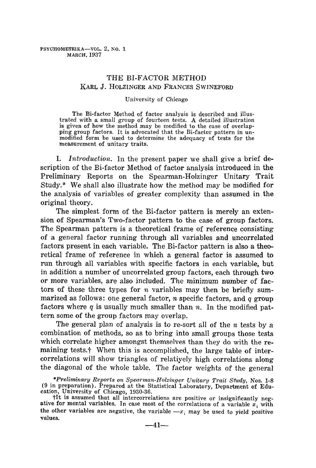# THE BI-FACTOR METHOD KARL J. HOLZINGER AND FRANCES SWINEFORD

#### University of Chicago

The Bi-factor Method of factor analysis is described and illustrated with a small group of fourteen tests. A detailed illustration is given of how the method may be modified to the case of overlapping group factors. It is advocated that the Bi-factor pattern in unmodified form be used to determine the adequacy of tests for the measurement of unitary traits.

I. *Introduction*. In the present paper we shall give a brief description of the Bi-factor Method of factor analysis introduced in the Preliminary Reports on the Spearman-Holzinger Unitary Trait Study.\* We shall also illustrate how the method may be modified for the analysis of variables of greater complexity than assumed in the original theory.

The simplest form of the Bi-factor pattern is merely an extension of Spearman's Two-factor pattern to the case of group factors. The Spearman pattern is a theoretical frame of reference consisting of a general factor running through all variables and uncorrelated factors present in each variable. The Bi-factor pattern is also a theoretical frame of reference in which a general factor is assumed to run through all variables with specific factors in each variable, but in addition a number of uncorrelated group factors, each through two or more variables, are also included. The minimum number of factors of these three types for  $n$  variables may then be briefly summarized as follows: one general factor,  $n$  specific factors, and  $q$  group factors where q is usually much smaller than n. In the modified pattern some of the group factors may overlap.

The general plan of analysis is to re-sort all of the  $n$  tests by a combination of methods, so as to bring into small groups those tests which correlate higher amongst themselves than they do with the remaining tests.<sup>†</sup> When this is accomplished, the large table of intercorrelations will show triangles of relatiyely high correlations along the diagonal of the whole table. The factor weights of the general

*<sup>\*</sup>P~'eliminwry Reports on Spea~'man~Holzinger Unitary Trait St'udy,* Nos. 1-8 (9 in preparation). Prepared at the Statistical Laboratory, Department of Education, University of Chicago, 1930-36.

tit is assumed that all intercorrelations are positive or insignificantly negative for mental variables. In case most of the correlations of a variable  $x_i$  with the other variables are negative, the variable  $-x_i$  may be used to yield positive values.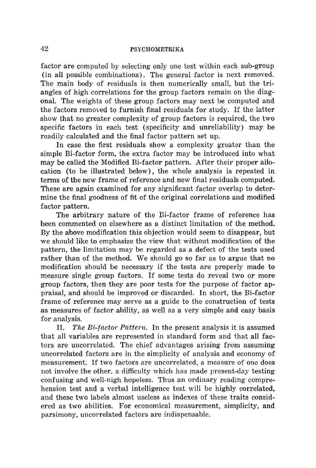factor are computed by selecting only one test within each sub-group (in all possible combinations). The general factor is next removed. The main body of residuals is then numerically small, but the triangles of high correlations for the group factors remain on the diagonal. The weights of these group factors may next be computed and the factors removed to furnish final residuals for study. If the latter show that no greater complexity of group factors is required, the two specific factors in each test (specificity and unreliability) may be readily calculated and the final factor pattern set up.

In case the first residuals show a complexity greater than the simple Bi-factor form, the extra factor may be introduced into what may be called the Modified Bi-factor pattern. After their proper allocation (to be illustrated below), the whole analysis is repeated in terms of the new frame of reference and new final residuals computed. These are again examined for any significant factor overlap to determine the final goodness of fit of the original correlations and modified factor pattern.

The arbitrary nature of the Bi-factor frame of reference has been commented on elsewhere as a distinct limitation of the method. By the above modification this objection would seem to disappear, but we should like to emphasize the view that without modification of the pattern, the limitation may be regarded as a defect of the tests used rather than of the method. We should go so far as to argue that no modification should be necessary if the tests are properly made to measure single group factors. If some tests do reveal two or more group factors, then they are poor tests for the purpose of factor appraisal, and should be improved or discarded. In short, the Bi-factor frame of reference may serve as a guide to the construction of tests as measures of factor ability, as well as a very simple and easy basis for analysis.

II. *The Bi-factor Pattern.* In the present analysis it is assumed that all variables are represented in standard form and that all factors are uncorrelated. The chief advantages arising from assuming uncorrelated factors are in the simplicity of analysis and economy of measurement. If two factors are uncorrelated, a measure of one does not involve the other, a difficulty which has made present-day testing confusing and well-nigh hopeless. Thus an ordinary reading comprehension test and a verbal intelligence test will be highly correlated, and these two labels almost useless as indexes of these traits considered as two abilities. For economical measurement, simplicity, and parsimony, uncorrelated factors are indispensable.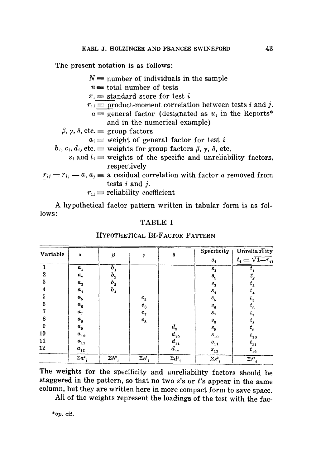The present notation is as follows:

 $N =$  number of individuals in the sample  $n=$  total number of tests  $x_i$  = standard score for test i  $r_{ij}$  = product-moment correlation between tests i and j.  $a \equiv$  general factor (designated as  $u_1$  in the Reports<sup>\*</sup> and in the numerical example)  $\beta$ ,  $\gamma$ ,  $\delta$ , etc.  $\equiv$  group factors  $a_i \equiv$  weight of general factor for test i  $b_i, c_i, d_i$ , etc.  $\equiv$  weights for group factors  $\beta$ ,  $\gamma$ ,  $\delta$ , etc.  $s_i$  and  $t_i$  = weights of the specific and unreliability factors, respectively  $r_{ij} = r_{ij} - a_i a_j \equiv$  a residual correlation with factor a removed from tests i and j.  $r_{11}$  = reliability coefficient

A hypothetical factor pattern written in tabular form is as follows:

#### TABLE I

#### Unreliability **Specificity** Variable  $\beta$ δ  $\alpha$ γ  $t_i = \sqrt{1-r_{11}}$  $s_i$ 1  $b_{\bf 1}$  $a_{1}$  $t_{\scriptscriptstyle 1}$  $s<sub>1</sub>$ 2  $b_{\rm a}$  $a_{2}$  $t_{\rm _2}$  $\mathbf{s}^{}_{2}$ 3  $a_{3}$  $b^{}_{3}$  $s_{3}$  $t_{3}$ **4**  *b 4 %*   $s_{\scriptscriptstyle 4}$ *t 4*  5  $c_{\scriptscriptstyle 5}$ *a 5*   $s_{5}^{\phantom{\dag}}$  $t_{\rm 5}$ 6 *c 6*   $a_{6}$  $t_{\scriptscriptstyle 6}$  $s_{\rm_6}$ 7  $a_{7}$  $c_{7}$ *t r*   $s_{7}$ **8**  *%*   $a_{\rm s}$  $t_{\rm a}$  $s_{\rm g}$ 9  $a_{\rm s}$  $d_{\rm g}$  $t_{\rm g}$  $s_{9}$  $d_{10}$ 10  $a_{10}$  $s_{10}$  $t_{10}$ 11  $d_{11}$  $a_{11}$  $t_{11}$  $s_{11}$ 12  $d_{12}$  $a_{12}$  $s_{12}$  $t_{12}$  $\sum a_i^2$  $\Sigma b_i^2$  $\sum c_i^2$  $\sum d^2_{i}$  $\Sigma s_i^2$  $\sum t_i^2$

#### HYPOTHETICAL Bi-FACTOR PATTERN

The weights for the specificity and unreliability factors should be staggered in the pattern, so that no two  $s$ 's or  $t$ 's appear in the same column, but they are written here in more compact form to save space.

All of the weights represent the loadings of the test with the fae-

*\*op. tit.*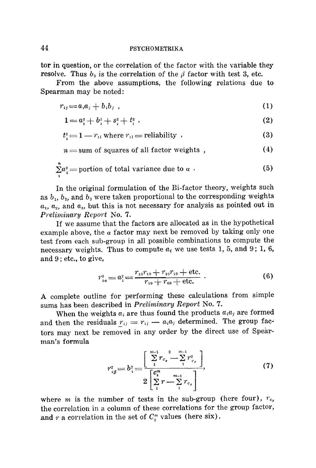tor in question, or the correlation of the factor with the variable they resolve. Thus  $b_3$  is the correlation of the  $\beta$  factor with test 3, etc.

From the above assumptions, the following relations due to Spearman may be noted:

$$
r_{ij} = a_i a_j + b_i b_j \t\t(1)
$$

$$
1 = a_i^2 + b_i^2 + s_i^2 + t_i^2 \tag{2}
$$

$$
t_i^2 = 1 - r_{1i} \text{ where } r_{1i} = \text{reliability } , \qquad (3)
$$

$$
n = \text{sum of squares of all factor weights }, \qquad (4)
$$

$$
\sum_{i=1}^{n} a_i^2 = \text{portion of total variance due to } a \tag{5}
$$

In the original formulation of the Bi-factor theory, weights such as  $b_1$ ,  $b_2$ , and  $b_3$  were taken proportional to the corresponding weights  $a_1, a_2$ , and  $a_3$ , but this is not necessary for analysis as pointed out in *Preliminary Report No. 7.* 

If we assume that the factors are allocated as in the hypothetical example above, the  $\alpha$  factor may next be removed by taking only one test from each sub-group in all possible combinations to compute the necessary weights. Thus to compute  $a_r$  we use tests 1, 5, and 9; 1, 6, and 9 ; etc., to give,

$$
r_{1a}^2 = a_1^2 = \frac{r_{15}r_{19} + r_{16}r_{19} + \text{etc.}}{r_{59} + r_{69} + \text{etc.}} \tag{6}
$$

A complete outline for performing these calculations from simple sums has been described in *Preliminary Report* No. 7.

When the weights  $a_i$  are thus found the products  $a_i a_j$  are formed and then the residuals  $r_{ij} = r_{ij} - a_i a_j$  determined. The group factors may next be removed in any order by the direct use of Spearman's formula

$$
r_{i\beta}^2 = b_i^2 = \frac{\left[\sum\limits_{1}^{m-1} r_{c_x} \frac{2}{r} \sum\limits_{1}^{m-1} r_{c_x}^2\right]}{2\left[\sum\limits_{1}^{c_2^m} r - \sum\limits_{1}^{m-1} r_{c_x}\right]},\tag{7}
$$

where m is the number of tests in the sub-group (here four),  $r_{c_x}$ the correlation in a colunm of these correlations for the group factor, and  $r$  a correlation in the set of  $C_2^m$  values (here six).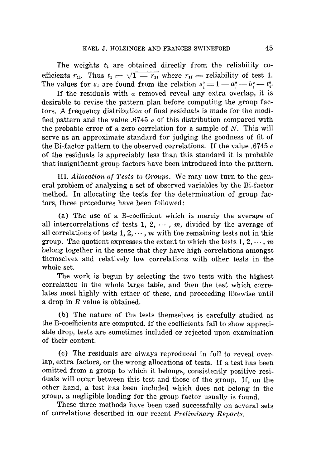The weights  $t_i$  are obtained directly from the reliability coefficients  $r_{\text{II}}$ . Thus  $t_1 = \sqrt{1 - r_{\text{II}}}$  where  $r_{\text{II}} =$  reliability of test 1. The values for  $s_i$  are found from the relation  $s_i^2 = 1 - a_i^2 - b_i^2 - t_i^2$ .

If the residuals with  $\alpha$  removed reveal any extra overlap, it is desirable to revise the pattern plan before computing the group factors. A frequency distribution of final residuals is made for the modified pattern and the value .6745  $\sigma$  of this distribution compared with the probable error of a zero correlation for a sample of  $N$ . This will serve as an approximate standard for judging the goodness of fit of the Bi-factor pattern to the observed correlations. If the value .6745  $\sigma$ of the residuals is appreciably less than this standard it is probable that insignificant group factors have been introduced into the pattern.

III. *Allocation of Tests to Groups.* We may now turn to the general problem of analyzing a set of observed variables by the Bi-factor method. In allocating the tests for the determination of group factors, three procedures have been followed:

(a) The use of a B-coefficient which is merely the average of all intercorrelations of tests 1, 2,  $\cdots$ , m, divided by the average of all correlations of tests  $1, 2, \dots, m$  with the remaining tests not in this group. The quotient expresses the extent to which the tests  $1, 2, \dots, m$ belong together in the sense that they have high correlations amongst themselves and relatively low correlations with other tests in the whole set.

The work is begun by selecting the two tests with the highest correlation in the whole large table, and then the test which correlates most highly with either of these, and proceeding likewise until a drop in B value is obtained.

(b) The nature of the tests themselves is carefully studied as the B-coefficients are computed. If the coefficients fail to show appreciable drop, tests are sometimes included or rejected upon examination of their content.

(c) The residuals are always reproduced in full to reveal overlap, extra factors, or the wrong allocations of tests. If a test has been omitted from a group to which it belongs, consistently positive residuals will occur between this test and those of the group. If, on the other hand, a test has been included which does not belong in the group, a negligible loading for the group factor usually is found.

These three methods have been used successfully on several sets of correlations described in our recent *Preliminary Reports.*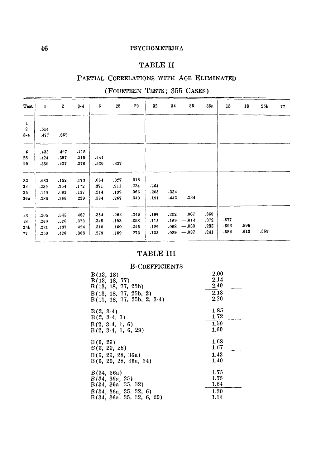# TABLE II

# PARTIAL CORRELATIONS WITH AGE ELIMINATED

# (FOURTEEN TESTS; 355 CASES)

| <b>Test</b>                      | $\mathbf{1}$ | $\boldsymbol{2}$ | $3 - 4$ | 6    | 28   | 29   | 32   | 34   | 35      | 36a  | 13   | 18   | 25 <sub>b</sub> | 77 |
|----------------------------------|--------------|------------------|---------|------|------|------|------|------|---------|------|------|------|-----------------|----|
| $\mathbf{1}$<br>$\boldsymbol{2}$ | .514         |                  |         |      |      |      |      |      |         |      |      |      |                 |    |
| $3 - 4$                          | .477         | .662             |         |      |      |      |      |      |         |      |      |      |                 |    |
| $6\phantom{.}6$                  | .433         | .497             | .415    |      |      |      |      |      |         |      |      |      |                 |    |
| 28                               | .424         | .397             | .319    | .444 |      |      |      |      |         |      |      |      |                 |    |
| 29                               | .350         | .427             | .376    | .530 | .437 |      |      |      |         |      |      |      |                 |    |
| 32                               | ,083         | .152             | .173    | .064 | .027 | .018 |      |      |         |      |      |      |                 |    |
| 34                               | .239         | .254             | .172    | .371 | .211 | .224 | .264 |      |         |      |      |      |                 |    |
| 35                               | ,140         | .083             | .137    | .214 | .139 | .066 | .203 | .334 |         |      |      |      |                 |    |
| 36a                              | .286         | .368             | .229    | .394 | .267 | .340 | .191 | .442 | .234    |      |      |      |                 |    |
| 13                               | .305         | .545             | .482    | .354 | .262 | .349 | .166 | .202 | .007    | .360 |      |      |                 |    |
| 18                               | .260         | .526             | .373    | .348 | .193 | .358 | .115 | .159 | $-.014$ | .372 | .677 |      |                 |    |
| 25b                              | .231         | .437             | .424    | .310 | .160 | .245 | .129 | .058 | $-.030$ | .235 | .603 | .596 |                 |    |
| 77                               | .250         | .426             | .368    | .279 | .189 | .273 | .133 | .039 | $-.037$ | .241 | .586 | .613 | .559            |    |

# TABLE III

# B-COEFFICIENTS

| B(13, 18)                    | 2.00 |
|------------------------------|------|
| B(13, 18, 77)                | 2.14 |
| B(13, 18, 77, 25b)           | 2.40 |
| B(13, 18, 77, 25b, 2)        | 2.18 |
| $B(13, 18, 77, 25b, 2, 3-4)$ | 2.20 |
|                              |      |
| $B(2, 3-4)$                  | 1.85 |
| $B(2, 3-4, 1)$               | 1.72 |
| $B(2, 3-4, 1, 6)$            | 1.59 |
| $B(2, 3-4, 1, 6, 29)$        | 1.60 |
|                              |      |
|                              |      |
| B(6, 29)                     | 1.68 |
| B(6, 29, 28)                 | 1.67 |
| B(6, 29, 28, 36a)            | 1.43 |
| B(6, 29, 28, 36a, 34)        | 1.40 |
|                              |      |
| B(34, 36a)                   | 1.75 |
| B(34, 36a, 35)               | 1.75 |
| B(34, 36a, 35, 32)           | 1.64 |
| B(34, 36a, 35, 32, 6)        | 1.30 |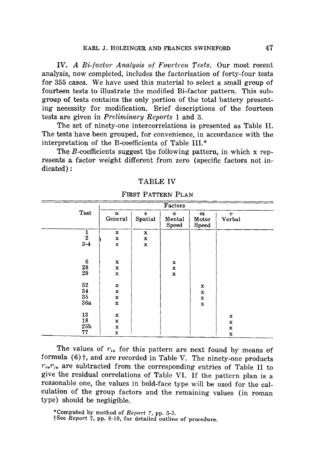IV. *A Bi-factor Analysis of Fourteen Tests.* Our most recent analysis, now completed, includes the factorization of forty-four tests for 355 cases. We have used this material to select a small group of fourteen tests to illustrate the modified Bi-factor pattern. This subgroup of tests contains the only portion of the total battery presenting necessity for modification. Brief descriptions of the fourteen tests are given in *Preliminary Reports* 1 and 3.

The set of ninety-one intercorrelations is presented as Table II. The tests have been grouped, for convenience, in accordance with the interpretation of the B-coefficients of Table III.\*

The B-coefficients suggest the following pattern, in which x represents a factor weight different from zero (specific factors not indicated) :

### **TABLE IV**

|                                        |             |             | Factors          |                  |                  |
|----------------------------------------|-------------|-------------|------------------|------------------|------------------|
| <b>Test</b>                            | u           | $\pmb{e}$   | $\boldsymbol{a}$ | $\boldsymbol{m}$ | $\boldsymbol{v}$ |
|                                        | General     | Spatial     | Mental           | Motor            | Verbal           |
|                                        |             |             | <b>Speed</b>     | <b>Speed</b>     |                  |
| $\frac{1}{2}$<br>3-4                   | $\mathbf x$ | $\mathbf x$ |                  |                  |                  |
|                                        | $\mathbf x$ | $\mathbf x$ |                  |                  |                  |
|                                        | x           | $\mathbf x$ |                  |                  |                  |
|                                        |             |             |                  |                  |                  |
|                                        |             |             |                  |                  |                  |
| $\begin{array}{c} 6 \\ 28 \end{array}$ | $\mathbf x$ |             | $\mathbf x$      |                  |                  |
| 29                                     | $\mathbf x$ |             | X                |                  |                  |
|                                        | $\mathbf x$ |             | $\mathbf x$      |                  |                  |
| 32                                     | $\mathbf x$ |             |                  |                  |                  |
| 34                                     |             |             |                  | x                |                  |
| 35                                     | $\mathbf x$ |             |                  | $\mathbf x$      |                  |
|                                        | $\mathbf x$ |             |                  | x                |                  |
| 36a                                    | $\mathbf x$ |             |                  | $\bf x$          |                  |
|                                        |             |             |                  |                  |                  |
| 13                                     | $\mathbf x$ |             |                  |                  | $\mathbf x$      |
| 18                                     | $\mathbf x$ |             |                  |                  | $\bf x$          |
| 25 <sub>b</sub>                        | $\mathbf x$ |             |                  |                  | $\bf x$          |
| 77                                     | x           |             |                  |                  | $\mathbf x$      |

FIRST PATTERN PLAN

The values of  $r_{i\mu}$  for this pattern are next found by means of formula  $(6)$ ; and are recorded in Table V. The ninety-one products  $r_{i}r_{j}$  are subtracted from the corresponding entries of Table II to give the residual correlations of Table VI. If the pattern plan is a reasonable one, the values in bold-face type will be used for the calculation of the group factors and the remaining values (in roman type) should be negligible.

\*Computed by method of *Report 7,* pp. 3-5.

tSee *Report* 7, pp. 8-10, for detailed outline of procedure.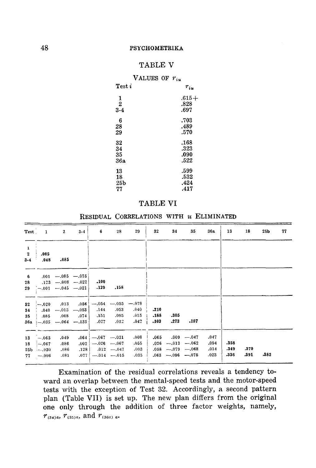# TABLE V

| VALUES OF $r_{iu}$ |          |
|--------------------|----------|
| $Test\,i$          | $r_{iu}$ |
| 1                  | $.615+$  |
| $\overline{2}$     | .828     |
| $3-4$              | .697     |
| 6                  | .703     |
| 28                 | .489     |
| 29                 | .570     |
| 32                 | .168     |
| 34                 | .323     |
| 35                 | .090     |
| 36a                | .522     |
| 13                 | .599     |
| 18                 | .532     |
| 25 <sub>b</sub>    | .424     |
| 77                 | .417     |

#### **TABLE VI**

RESIDUAL CORRELATIONS WITH u ELIMINATED

| <b>Test</b>                                        | $\mathbf{1}$                                | $\mathbf{2}$                                                            | $3 - 4$                         | 6                       | 28                                                | 29                           | 32                   | 34                                                                                                | 35   | 36a                          | 13                   | 18           | 25Ь  | 77 |
|----------------------------------------------------|---------------------------------------------|-------------------------------------------------------------------------|---------------------------------|-------------------------|---------------------------------------------------|------------------------------|----------------------|---------------------------------------------------------------------------------------------------|------|------------------------------|----------------------|--------------|------|----|
| $\mathbf{1}$<br>$\overline{\mathbf{2}}$<br>$3 - 4$ | .005<br>.048                                | .085                                                                    |                                 |                         |                                                   |                              |                      |                                                                                                   |      |                              |                      |              |      |    |
| 6<br>28<br>29                                      |                                             | $,001 - .085 - .075$<br>$.123 - .008 - .022$<br>$-0.01 - 0.045 - 0.021$ |                                 | .100<br>.129            | .158                                              |                              |                      |                                                                                                   |      |                              |                      |              |      |    |
| 32<br>34<br>35                                     | $-.020$<br>.040                             | .013<br>$.085-.008$<br>36a $[-0.35 - 0.064 - 0.135]$                    | .056<br>$-.013$ $-.053$<br>.074 | .144<br>.151<br>.027    | $-.054$ $-.055$ $-.078$<br>.053<br>.095<br>.012   | .040<br>.015<br>.042         | .210<br>.188<br>.103 | .305<br>.273                                                                                      | .187 |                              |                      |              |      |    |
| 13<br>18<br>77.                                    | $-.063$<br>$-067$<br>$25b - 030$<br>$-.006$ | .049<br>.086<br>,086<br>.081                                            | .002<br>, 128<br>.077           | $.064$ $- .067$ $-.031$ | $-.026$ - 067<br>$.012 - .047$<br>$-.014$ $-.015$ | .008<br>.055<br>.003<br>.035 |                      | $.065$ $.009$ $-.047$<br>$.026$ - $-.013$ - $-.062$<br>$.058$ --079 --068<br>$.063 - .096 - .075$ |      | .047<br>,094<br>.014<br>.023 | .358<br>.349<br>.336 | .370<br>.391 | -382 |    |

Examination of the residual correlations reveals a tendency toward an overlap between the mental-speed tests and the motor-speed tests with the exception of Test 32. Accordingly, a second pattern plan (Table VII) is set up. The new plan differs from the original one only through the addition of three factor weights, namely,  $r_{(34)a}$ ,  $r_{(35)a}$ , and  $r_{(36a)ab}$ .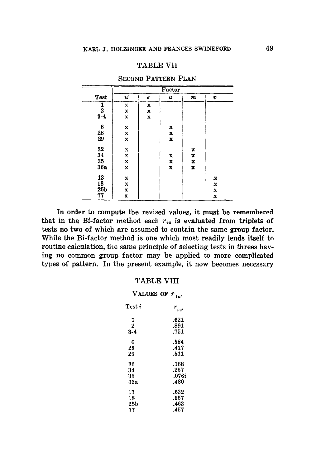## TABLE VII

|                 |                   | Factor      |                  |                  |             |  |  |  |  |  |
|-----------------|-------------------|-------------|------------------|------------------|-------------|--|--|--|--|--|
| Test            | $\boldsymbol{u}'$ | e           | $\boldsymbol{a}$ | $\boldsymbol{m}$ | v           |  |  |  |  |  |
| 1               | x                 | $\mathbf x$ |                  |                  |             |  |  |  |  |  |
| $\frac{2}{3-4}$ | x                 | $\mathbf x$ |                  |                  |             |  |  |  |  |  |
|                 | x                 | $\mathbf x$ |                  |                  |             |  |  |  |  |  |
| 6               | $\bf x$           |             | x                |                  |             |  |  |  |  |  |
| 28              | $\mathbf x$       |             | x                |                  |             |  |  |  |  |  |
| 29              | $\bf x$           |             | x                |                  |             |  |  |  |  |  |
| 32              | x                 |             |                  | x                |             |  |  |  |  |  |
| 34              | $\mathbf x$       |             | x                | $\mathbf x$      |             |  |  |  |  |  |
| 35              | x                 |             | x                | $\mathbf x$      |             |  |  |  |  |  |
| 36a             | x                 |             | $\mathbf x$      | x                |             |  |  |  |  |  |
| 13              | $\mathbf x$       |             |                  |                  | x           |  |  |  |  |  |
| 18              | $\mathbf x$       |             |                  |                  | $\mathbf x$ |  |  |  |  |  |
| 25 <sub>b</sub> | x                 |             |                  |                  | x           |  |  |  |  |  |
| 77              | x                 |             |                  |                  | x           |  |  |  |  |  |

SECOND PATTERN PLAN

In order to compute the revised values, it must be remembered that in the Bi-factor method each  $r_{iu}$  is evaluated from triplets of tests no two of which are assumed to contain the same group factor. While the Bi-factor method is one which most readily lends itself to routine calculation, the same principle of selecting tests in threes having no common group factor may be applied to more complicated types of pattern. In the present example, it now becomes necessary

#### TABLE VIII

| VALUES OF $r_{i u'}$ |              |
|----------------------|--------------|
| ${\rm Test}~i$       | $r_{\mu\nu}$ |
| 1                    | .621         |
| $\overline{2}$       | .891         |
| $3 - 4$              | .751         |
| 6                    | .584         |
| 28                   | .417         |
| 29                   | .511         |
| 32                   | .168         |
| 34                   | .257         |
| 35                   | .076i        |
| 36a                  | .480         |
| 13                   | .632         |
| 18                   | .557         |
| 25b                  | .463         |
| 77                   | .457         |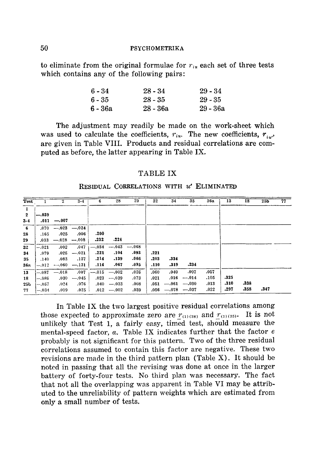to eliminate from the original formulae for  $r_{i\mu}$  each set of three tests which contains any of the following pairs:

| $6 - 34$ | $28 - 34$  | $29 - 34$  |
|----------|------------|------------|
| 6 - 35   | 28 - 35    | $29 - 35$  |
| 6 - 36a  | $28 - 36a$ | $29 - 36a$ |

The adjustment may readily be made on the work-sheet which was used to calculate the coefficients,  $r_{iu}$ . The new coefficients,  $r_{i}$ , are given in Table VIII. Products and residual correlations are computed as before, the latter appearing in Table IX.

#### TABLE IX

#### RESIDUAL CORRELATIONS WITH  $u'$  ELIMINATED

| Test         |         | $\mathbf{2}$ | $3 - 4$         | 6       | 28                  | 29             | 32   | 34              | 35                  | 36a  | 13   | $\overline{18}$ | 25 <sub>b</sub> | 77 |
|--------------|---------|--------------|-----------------|---------|---------------------|----------------|------|-----------------|---------------------|------|------|-----------------|-----------------|----|
| -1           |         |              |                 |         |                     |                |      |                 |                     |      |      |                 |                 |    |
| $\mathbf{2}$ | $-.039$ |              |                 |         |                     |                |      |                 |                     |      |      |                 |                 |    |
| $3 - 4$      | .011    | $-.007$      |                 |         |                     |                |      |                 |                     |      |      |                 |                 |    |
| 6            | .070    |              | $-.023 - .024$  |         |                     |                |      |                 |                     |      |      |                 |                 |    |
| 28           | .165    | .025         | .006            | .200    |                     |                |      |                 |                     |      |      |                 |                 |    |
| 29           | 033     |              | $-.028$ $-.008$ | .232    | $-224$              |                |      |                 |                     |      |      |                 |                 |    |
| 32           | $-.021$ | .002         | .047            | $-.034$ |                     | $-.043 - .068$ |      |                 |                     |      |      |                 |                 |    |
| 34           | .079    | .025         | $-.021$         | .221    | .104                | .093           | .221 |                 |                     |      |      |                 |                 |    |
| 35           | .140    | .083         | .137            | $-214$  | .139                | .066           | .203 | .334            |                     |      |      |                 |                 |    |
| 36a          | $-.012$ |              | $-.060$ $-.131$ | .114    | .067                | .095           | .110 | .319            | .234                |      |      |                 |                 |    |
| 13           | $-.087$ | $-.018$      | .007            |         | $-.015 \quad -.002$ | .026           | .060 | .040            | .007                | .057 |      |                 |                 |    |
| 18           | $-.086$ | .030         | $-.045$         | .023    | $-0.39$             | .073           | .021 | .016            | $-.014$             | .105 | .325 |                 |                 |    |
| 25 b         | $-.057$ | .024         | .076            |         | $.040 - .033$       | .008           | .051 |                 | $-.061 \quad -.030$ | .013 | .310 | .338            |                 |    |
| 77           | $-.034$ | .019         | .025            |         | $.012 - .002$       | .039           | .056 | $-.078$ $-.037$ |                     | .022 | .297 | .358            | .347            |    |

In Table IX the two largest positive residual correlations among those expected to approximate zero are  $r_{(1)(28)}$  and  $r_{(1)(35)}$ . It is not unlikely that Test 1, a fairly easy, timed test, should measure the mental-speed factor,  $a$ . Table IX indicates further that the factor  $e$ probably is not significant for this pattern. Two of the three residual correlations assumed to contain this factor are negative. These two revisions are made in the third pattern plan (Table X). It should be noted in passing that all the revising was done at once in the larger battery of forty-four tests. No third plan was necessary. The fact that not all the overlapping was apparent in Table VI may be attributed to the unreliability of pattern weights which are estimated from only a small number of tests.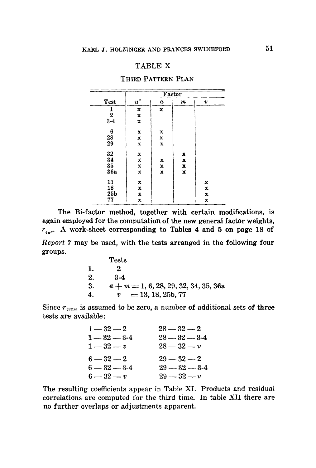# TABLE **X**

|                 |                    |              | Factor      |             |
|-----------------|--------------------|--------------|-------------|-------------|
| Test            | $\boldsymbol{u}''$ | a            | m           | v           |
| $\frac{1}{2}$   | $\mathbf x$        | x            |             |             |
|                 | $\mathbf x$        |              |             |             |
| $3 - 4$         | x                  |              |             |             |
| 6               | $\mathbf x$        | x            |             |             |
| 28              | x                  | $\bf x$      |             |             |
| 29              | $\mathbf x$        | x            |             |             |
| 32              | x                  |              | x           |             |
| 34              | x                  | x            | $\mathbf x$ |             |
| 35              | x                  | $\mathbf x$  | x           |             |
| 36a             | $\mathbf x$        | $\mathbf{x}$ | $\mathbf x$ |             |
| 13              | x                  |              |             | x           |
| 18              | $\mathbf x$        |              |             | $\mathbf x$ |
| 25 <sub>b</sub> | $\mathbf x$        |              |             | $\mathbf x$ |
| 77              | $\bf x$            |              |             | x           |

The Bi-factor method, together with certain modifications, is again employed for the computation of the new general factor weights,  $r_{i_1...i_n}$ . A work-sheet corresponding to Tables 4 and 5 on page 18 of *Report 7* may be used, with the tests arranged in the following four groups.

|    | Tests                               |
|----|-------------------------------------|
| 1. |                                     |
| 2. | $3-4$                               |
| 3. | $a+m=1, 6, 28, 29, 32, 34, 35, 36a$ |
| 4. | $=$ 13, 18, 25b, 77<br>v            |

Since  $r_{(32)a}$  is assumed to be zero, a number of additional sets of three tests are available:

| $1 - 32 - 2$     | $28 - 32 - 2$     |
|------------------|-------------------|
| $1 - 32 - 3 - 4$ | $28 - 32 - 3 - 4$ |
| $1 - 32 - v$     | $28 - 32 - v$     |
| $6 - 32 - 2$     | $29 - 32 - 2$     |
| $6 - 32 - 3 - 4$ | $29 - 32 - 3 - 4$ |
| $6 - 32 - v$     | $29 - 32 - v$     |

The resulting coefficients appear in Table XI. Products and residual correlations are computed for the third time. In table XII there are no further overlaps or adjustments apparent.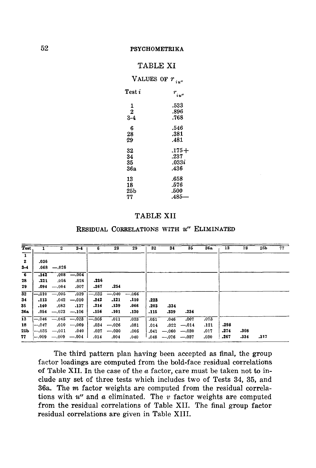# TABLE XI VALUES OF  $r_{\text{max}}$

|                 | 1 U "        |
|-----------------|--------------|
| Test i          | $r_{\mu\nu}$ |
| 1               | .533         |
| $\overline{2}$  | .896         |
| 3-4             | .768         |
| 6               | .546         |
| 28              | .381         |
| 29              | .481         |
| 32              | $.175+$      |
| 34              | .237         |
| 35              | 033i         |
| <b>36a</b>      | .436         |
| 13              | .658         |
| 18              | .576         |
| 25 <sub>b</sub> | .500         |
| 77              | .485         |

# TABLE XII

#### **RESIDUAL CORRELATIONS WITH**  $u''$  **ELIMINATED**

| <b>Test</b>             |         | $\mathbf{2}$        | $3 - 4$                                                     | 6                 | 28      | 29      | 32   | 34                       | 35             | 36a  | 13   | 18   | 25b  | 77 |
|-------------------------|---------|---------------------|-------------------------------------------------------------|-------------------|---------|---------|------|--------------------------|----------------|------|------|------|------|----|
| $\overline{\mathrm{T}}$ |         |                     |                                                             |                   |         |         |      |                          |                |      |      |      |      |    |
| -2                      | .036    |                     |                                                             |                   |         |         |      |                          |                |      |      |      |      |    |
| $3 - 4$                 | .068    | $-.026$             |                                                             |                   |         |         |      |                          |                |      |      |      |      |    |
| $\overline{\cdot}$      | .142    | .008                | $-.004$                                                     |                   |         |         |      |                          |                |      |      |      |      |    |
| 28                      | .221    | .056                | .026                                                        | .236              |         |         |      |                          |                |      |      |      |      |    |
| 29                      | .094    | $-.004$             | .007                                                        | $-267$            | .254    |         |      |                          |                |      |      |      |      |    |
| 32                      | $-.010$ | $-.005$             | .039                                                        | $-.032$           | $-.040$ | $-.066$ |      |                          |                |      |      |      |      |    |
| 34                      | .113    | .042                | $-.010$                                                     | .242              | .121    | .110    | .223 |                          |                |      |      |      |      |    |
| 35                      | .140    | .083                | .137                                                        | .214              | .139    | .066    | .203 | -334                     |                |      |      |      |      |    |
| 36а                     | .054    |                     | $-.023$ $-.106$                                             | .156              | .101    | .130    | .115 | .339                     | .234           |      |      |      |      |    |
| $\overline{13}$         |         |                     | $\overline{-0.046}$ $\overline{-0.045}$ $\overline{-0.023}$ | $\overline{-005}$ | .011    | .033    | .051 | .046                     | .007           | .073 |      |      |      |    |
| 18                      | $-.047$ |                     | $.010 - .069$                                               | .034              | $-.026$ | .081    | .014 | .022                     | $-.014$        | .121 | .298 |      |      |    |
| 25Ь                     |         | $-.035 \quad -.011$ | .040                                                        | .037              | $-.030$ | .005    | .041 |                          | $-.060 - .030$ | .017 | .274 | .308 |      |    |
| 77                      |         |                     | $-0.09 - 0.09 - 0.04$                                       | .014              | .004    | .040    |      | $.048$ - $.076$ - $.037$ |                | .030 | .267 | .334 | .317 |    |

The third pattern plan having been accepted as final, the group factor loadings are computed from the bold-face residual correlations of Table XII. In the case of the  $a$  factor, care must be taken not to include any set of three tests which includes two of Tests 34, 35, and 36a. The m factor weights are computed from the residual correlations with *u"* and a eliminated. The v factor weights are computed from the residual correlations of Table XII. The final group factor residual correlations are given in Table XIII.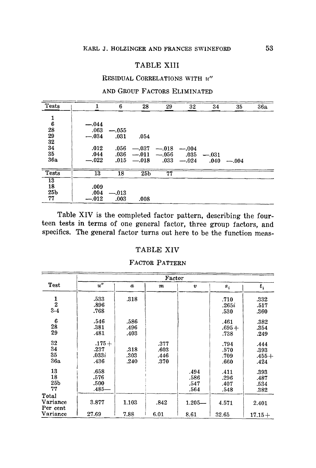# TABLE XIII

### RESIDUAL CORRELATIONS WITH  $u''$

### AND GROUP FACTORS ELIMINATED

| Tests           |         | 6       | 28              | 29                  | 32      | 34      | 35            | 36a |
|-----------------|---------|---------|-----------------|---------------------|---------|---------|---------------|-----|
| $\frac{1}{6}$   |         |         |                 |                     |         |         |               |     |
|                 | $-.044$ |         |                 |                     |         |         |               |     |
| 28              | .063    | $-.055$ |                 |                     |         |         |               |     |
| 29              | $-.034$ | - .031  | .054            |                     |         |         |               |     |
| 32              |         |         |                 |                     |         |         |               |     |
| 34              | .012    | .056    | $-.037$         | $-.018$             | $-.004$ |         |               |     |
| 35              | .044    | .036    |                 | $-.011 \quad -.056$ | .035    | $-.031$ |               |     |
| 36a             | $-.022$ |         | $.015 - .018$   | $.033 - .024$       |         |         | $.040 - .004$ |     |
| Tests           | $13\,$  | 18      | 25 <sub>b</sub> | 77                  |         |         |               |     |
| 13              |         |         |                 |                     |         |         |               |     |
| 18              | .009    |         |                 |                     |         |         |               |     |
| 25 <sub>b</sub> | .004    | $-.013$ |                 |                     |         |         |               |     |
| 77              | $-.012$ | .003    | .008            |                     |         |         |               |     |

Table XIV is the completed factor pattern, describing the fourteen tests in terms of one general factor, three group factors, and specifics. The general factor turns out here to be the function meas-

### TABLE XIV

### FACTOR PATTERN

|                                   | Factor                          |                      |                              |                              |                              |                                 |  |  |  |  |
|-----------------------------------|---------------------------------|----------------------|------------------------------|------------------------------|------------------------------|---------------------------------|--|--|--|--|
| Test                              | u''                             | $\boldsymbol{a}$     | m                            | Đ                            | $s_i$                        | $t_i$                           |  |  |  |  |
| $\frac{1}{2}$<br>$3 - 4$          | .533<br>.896<br>.768            | .318                 |                              |                              | .710<br>.265i<br>.530        | .332<br>.517<br>.360            |  |  |  |  |
| 6<br>28<br>29                     | .546<br>.381<br>.481            | .586<br>.496<br>.403 |                              |                              | .461<br>$.695+$<br>.738      | .382<br>.354<br>.249            |  |  |  |  |
| 32<br>34<br>35<br>36a             | $.175+$<br>.237<br>033i<br>.436 | .318<br>.303<br>.240 | .377<br>.603<br>.446<br>.370 |                              | .794<br>.570<br>.709<br>.660 | .444<br>.393<br>$.455+$<br>.424 |  |  |  |  |
| 13<br>18<br>25 <sub>b</sub><br>77 | .658<br>.576<br>.500<br>$.485-$ |                      |                              | .494<br>.586<br>.547<br>.564 | .411<br>.296<br>.407<br>.548 | .393<br>.487<br>.534<br>.382    |  |  |  |  |
| Total<br>Variance<br>Per cent     | 3.877                           | 1.103                | .842                         | $1.205 -$                    | 4.571                        | 2,401                           |  |  |  |  |
| Variance                          | 27.69                           | 7.88                 | 6.01                         | 8.61                         | 32.65                        | $17.15+$                        |  |  |  |  |